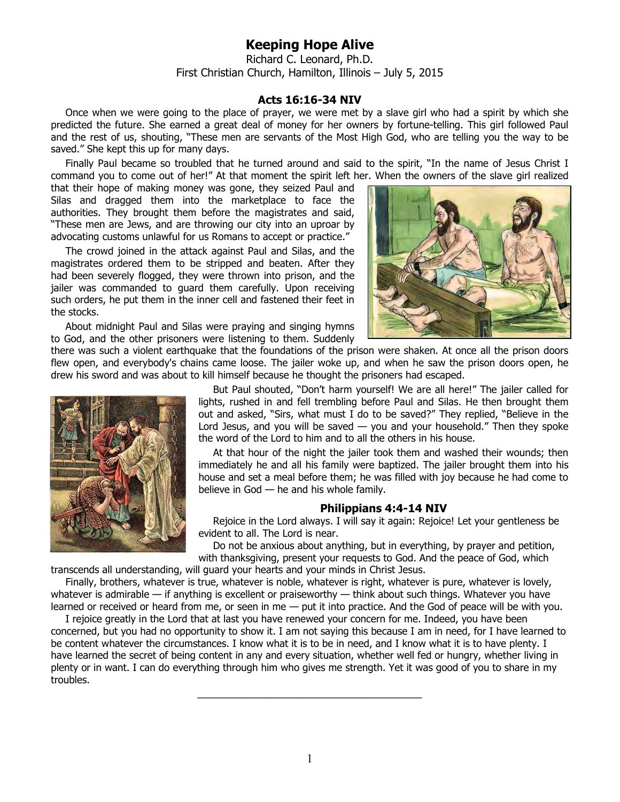## **Keeping Hope Alive**

Richard C. Leonard, Ph.D. First Christian Church, Hamilton, Illinois – July 5, 2015

## **Acts 16:16-34 NIV**

Once when we were going to the place of prayer, we were met by a slave girl who had a spirit by which she predicted the future. She earned a great deal of money for her owners by fortune-telling. This girl followed Paul and the rest of us, shouting, "These men are servants of the Most High God, who are telling you the way to be saved." She kept this up for many days.

Finally Paul became so troubled that he turned around and said to the spirit, "In the name of Jesus Christ I command you to come out of her!" At that moment the spirit left her. When the owners of the slave girl realized

that their hope of making money was gone, they seized Paul and Silas and dragged them into the marketplace to face the authorities. They brought them before the magistrates and said, "These men are Jews, and are throwing our city into an uproar by advocating customs unlawful for us Romans to accept or practice."

The crowd joined in the attack against Paul and Silas, and the magistrates ordered them to be stripped and beaten. After they had been severely flogged, they were thrown into prison, and the jailer was commanded to guard them carefully. Upon receiving such orders, he put them in the inner cell and fastened their feet in the stocks.

About midnight Paul and Silas were praying and singing hymns to God, and the other prisoners were listening to them. Suddenly

there was such a violent earthquake that the foundations of the prison were shaken. At once all the prison doors flew open, and everybody's chains came loose. The jailer woke up, and when he saw the prison doors open, he drew his sword and was about to kill himself because he thought the prisoners had escaped.



But Paul shouted, "Don't harm yourself! We are all here!" The jailer called for lights, rushed in and fell trembling before Paul and Silas. He then brought them out and asked, "Sirs, what must I do to be saved?" They replied, "Believe in the Lord Jesus, and you will be saved  $-$  you and your household." Then they spoke the word of the Lord to him and to all the others in his house.

At that hour of the night the jailer took them and washed their wounds; then immediately he and all his family were baptized. The jailer brought them into his house and set a meal before them; he was filled with joy because he had come to believe in God — he and his whole family.

## **Philippians 4:4-14 NIV**

Rejoice in the Lord always. I will say it again: Rejoice! Let your gentleness be evident to all. The Lord is near.

Do not be anxious about anything, but in everything, by prayer and petition, with thanksgiving, present your requests to God. And the peace of God, which

transcends all understanding, will guard your hearts and your minds in Christ Jesus.

Finally, brothers, whatever is true, whatever is noble, whatever is right, whatever is pure, whatever is lovely, whatever is admirable — if anything is excellent or praiseworthy — think about such things. Whatever you have learned or received or heard from me, or seen in me — put it into practice. And the God of peace will be with you.

I rejoice greatly in the Lord that at last you have renewed your concern for me. Indeed, you have been concerned, but you had no opportunity to show it. I am not saying this because I am in need, for I have learned to be content whatever the circumstances. I know what it is to be in need, and I know what it is to have plenty. I have learned the secret of being content in any and every situation, whether well fed or hungry, whether living in plenty or in want. I can do everything through him who gives me strength. Yet it was good of you to share in my troubles.

\_\_\_\_\_\_\_\_\_\_\_\_\_\_\_\_\_\_\_\_\_\_\_\_\_\_\_\_\_\_\_\_\_\_\_\_\_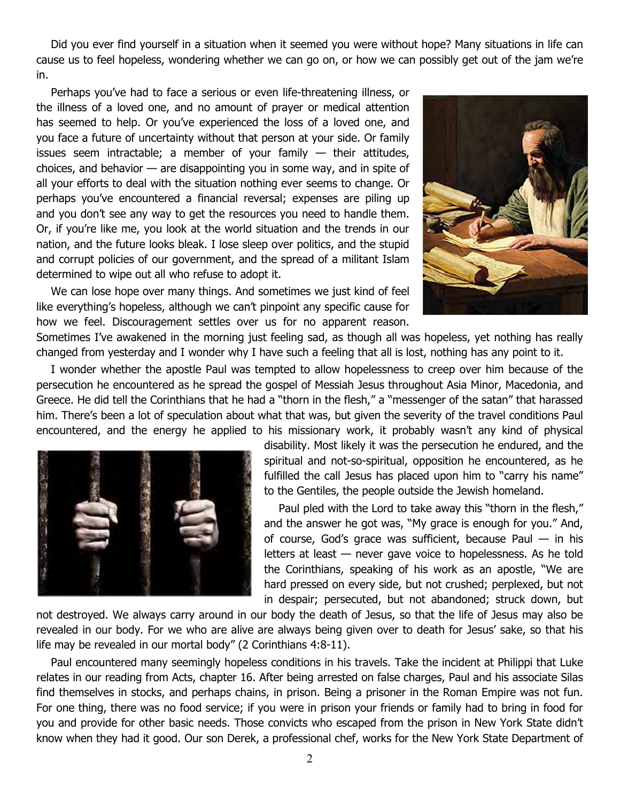Did you ever find yourself in a situation when it seemed you were without hope? Many situations in life can cause us to feel hopeless, wondering whether we can go on, or how we can possibly get out of the jam we're in.

Perhaps you've had to face a serious or even life-threatening illness, or the illness of a loved one, and no amount of prayer or medical attention has seemed to help. Or you've experienced the loss of a loved one, and you face a future of uncertainty without that person at your side. Or family issues seem intractable; a member of your family — their attitudes, choices, and behavior — are disappointing you in some way, and in spite of all your efforts to deal with the situation nothing ever seems to change. Or perhaps you've encountered a financial reversal; expenses are piling up and you don't see any way to get the resources you need to handle them. Or, if you're like me, you look at the world situation and the trends in our nation, and the future looks bleak. I lose sleep over politics, and the stupid and corrupt policies of our government, and the spread of a militant Islam determined to wipe out all who refuse to adopt it.

We can lose hope over many things. And sometimes we just kind of feel like everything's hopeless, although we can't pinpoint any specific cause for how we feel. Discouragement settles over us for no apparent reason.



Sometimes I've awakened in the morning just feeling sad, as though all was hopeless, yet nothing has really changed from yesterday and I wonder why I have such a feeling that all is lost, nothing has any point to it.

I wonder whether the apostle Paul was tempted to allow hopelessness to creep over him because of the persecution he encountered as he spread the gospel of Messiah Jesus throughout Asia Minor, Macedonia, and Greece. He did tell the Corinthians that he had a "thorn in the flesh," a "messenger of the satan" that harassed him. There's been a lot of speculation about what that was, but given the severity of the travel conditions Paul encountered, and the energy he applied to his missionary work, it probably wasn't any kind of physical



disability. Most likely it was the persecution he endured, and the spiritual and not-so-spiritual, opposition he encountered, as he fulfilled the call Jesus has placed upon him to "carry his name" to the Gentiles, the people outside the Jewish homeland.

Paul pled with the Lord to take away this "thorn in the flesh," and the answer he got was, "My grace is enough for you." And, of course, God's grace was sufficient, because Paul  $-$  in his letters at least — never gave voice to hopelessness. As he told the Corinthians, speaking of his work as an apostle, "We are hard pressed on every side, but not crushed; perplexed, but not in despair; persecuted, but not abandoned; struck down, but

not destroyed. We always carry around in our body the death of Jesus, so that the life of Jesus may also be revealed in our body. For we who are alive are always being given over to death for Jesus' sake, so that his life may be revealed in our mortal body" (2 Corinthians 4:8-11).

Paul encountered many seemingly hopeless conditions in his travels. Take the incident at Philippi that Luke relates in our reading from Acts, chapter 16. After being arrested on false charges, Paul and his associate Silas find themselves in stocks, and perhaps chains, in prison. Being a prisoner in the Roman Empire was not fun. For one thing, there was no food service; if you were in prison your friends or family had to bring in food for you and provide for other basic needs. Those convicts who escaped from the prison in New York State didn't know when they had it good. Our son Derek, a professional chef, works for the New York State Department of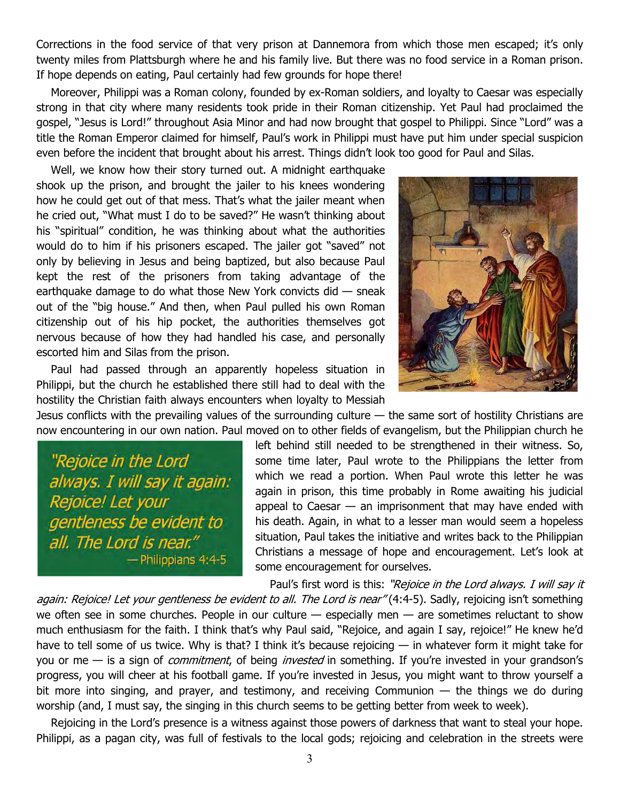Corrections in the food service of that very prison at Dannemora from which those men escaped; it's only twenty miles from Plattsburgh where he and his family live. But there was no food service in a Roman prison. If hope depends on eating, Paul certainly had few grounds for hope there!

Moreover, Philippi was a Roman colony, founded by ex-Roman soldiers, and loyalty to Caesar was especially strong in that city where many residents took pride in their Roman citizenship. Yet Paul had proclaimed the gospel, "Jesus is Lord!" throughout Asia Minor and had now brought that gospel to Philippi. Since "Lord" was a title the Roman Emperor claimed for himself, Paul's work in Philippi must have put him under special suspicion even before the incident that brought about his arrest. Things didn't look too good for Paul and Silas.

Well, we know how their story turned out. A midnight earthquake shook up the prison, and brought the jailer to his knees wondering how he could get out of that mess. That's what the jailer meant when he cried out, "What must I do to be saved?" He wasn't thinking about his "spiritual" condition, he was thinking about what the authorities would do to him if his prisoners escaped. The jailer got "saved" not only by believing in Jesus and being baptized, but also because Paul kept the rest of the prisoners from taking advantage of the earthquake damage to do what those New York convicts did — sneak out of the "big house." And then, when Paul pulled his own Roman citizenship out of his hip pocket, the authorities themselves got nervous because of how they had handled his case, and personally escorted him and Silas from the prison.

Paul had passed through an apparently hopeless situation in Philippi, but the church he established there still had to deal with the hostility the Christian faith always encounters when loyalty to Messiah



Jesus conflicts with the prevailing values of the surrounding culture — the same sort of hostility Christians are now encountering in our own nation. Paul moved on to other fields of evangelism, but the Philippian church he

"Rejoice in the Lord always. I will say it again: Rejoice! Let your gentleness be evident to all. The Lord is near." -Philippians 4:4-5

left behind still needed to be strengthened in their witness. So, some time later, Paul wrote to the Philippians the letter from which we read a portion. When Paul wrote this letter he was again in prison, this time probably in Rome awaiting his judicial appeal to Caesar — an imprisonment that may have ended with his death. Again, in what to a lesser man would seem a hopeless situation, Paul takes the initiative and writes back to the Philippian Christians a message of hope and encouragement. Let's look at some encouragement for ourselves.

Paul's first word is this: "Rejoice in the Lord always. I will say it

again: Rejoice! Let your gentleness be evident to all. The Lord is near" (4:4-5). Sadly, rejoicing isn't something we often see in some churches. People in our culture — especially men — are sometimes reluctant to show much enthusiasm for the faith. I think that's why Paul said, "Rejoice, and again I say, rejoice!" He knew he'd have to tell some of us twice. Why is that? I think it's because rejoicing — in whatever form it might take for you or me — is a sign of *commitment*, of being *invested* in something. If you're invested in your grandson's progress, you will cheer at his football game. If you're invested in Jesus, you might want to throw yourself a bit more into singing, and prayer, and testimony, and receiving Communion — the things we do during worship (and, I must say, the singing in this church seems to be getting better from week to week).

Rejoicing in the Lord's presence is a witness against those powers of darkness that want to steal your hope. Philippi, as a pagan city, was full of festivals to the local gods; rejoicing and celebration in the streets were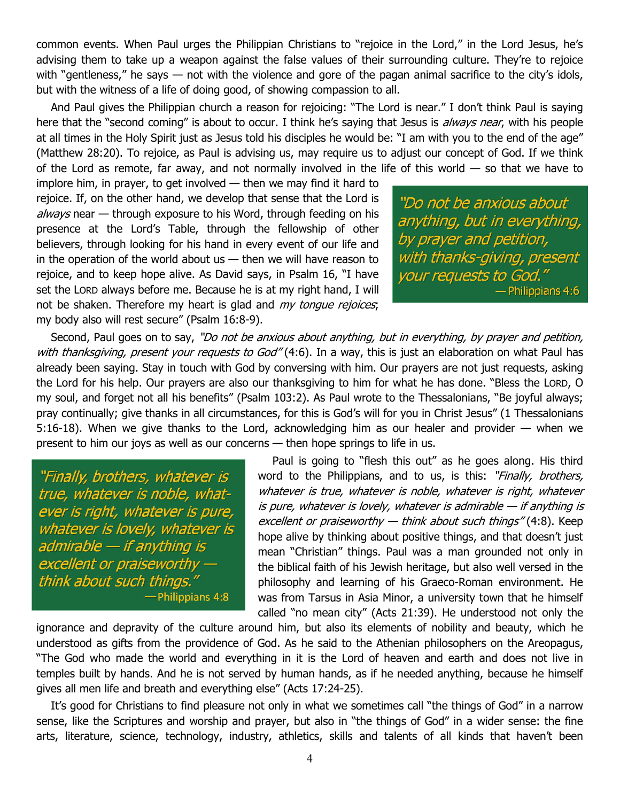common events. When Paul urges the Philippian Christians to "rejoice in the Lord," in the Lord Jesus, he's advising them to take up a weapon against the false values of their surrounding culture. They're to rejoice with "gentleness," he says — not with the violence and gore of the pagan animal sacrifice to the city's idols, but with the witness of a life of doing good, of showing compassion to all.

And Paul gives the Philippian church a reason for rejoicing: "The Lord is near." I don't think Paul is saying here that the "second coming" is about to occur. I think he's saying that Jesus is *always near*, with his people at all times in the Holy Spirit just as Jesus told his disciples he would be: "I am with you to the end of the age" (Matthew 28:20). To rejoice, as Paul is advising us, may require us to adjust our concept of God. If we think of the Lord as remote, far away, and not normally involved in the life of this world  $-$  so that we have to

implore him, in prayer, to get involved — then we may find it hard to rejoice. If, on the other hand, we develop that sense that the Lord is always near — through exposure to his Word, through feeding on his presence at the Lord's Table, through the fellowship of other believers, through looking for his hand in every event of our life and in the operation of the world about us  $-$  then we will have reason to rejoice, and to keep hope alive. As David says, in Psalm 16, "I have set the LORD always before me. Because he is at my right hand, I will not be shaken. Therefore my heart is glad and *my tongue rejoices*; my body also will rest secure" (Psalm 16:8-9).

"Do not be anxious about anything, but in everything, by prayer and petition, with thanks-giving, present your requests to God." - Philippians 4:6

Second, Paul goes on to say, "Do not be anxious about anything, but in everything, by prayer and petition, with thanksgiving, present your requests to God" (4:6). In a way, this is just an elaboration on what Paul has already been saying. Stay in touch with God by conversing with him. Our prayers are not just requests, asking the Lord for his help. Our prayers are also our thanksgiving to him for what he has done. "Bless the LORD, O my soul, and forget not all his benefits" (Psalm 103:2). As Paul wrote to the Thessalonians, "Be joyful always; pray continually; give thanks in all circumstances, for this is God's will for you in Christ Jesus" (1 Thessalonians 5:16-18). When we give thanks to the Lord, acknowledging him as our healer and provider — when we present to him our joys as well as our concerns — then hope springs to life in us.

"Finally, brothers, whatever is true, whatever is noble, whatever is right, whatever is pure, whatever is lovely, whatever is admirable  $-$  if anything is excellent or praiseworthy  $$ think about such things." - Philippians 4:8

Paul is going to "flesh this out" as he goes along. His third word to the Philippians, and to us, is this: "Finally, brothers, whatever is true, whatever is noble, whatever is right, whatever is pure, whatever is lovely, whatever is admirable — if anything is excellent or praiseworthy  $-$  think about such things" (4:8). Keep hope alive by thinking about positive things, and that doesn't just mean "Christian" things. Paul was a man grounded not only in the biblical faith of his Jewish heritage, but also well versed in the philosophy and learning of his Graeco-Roman environment. He was from Tarsus in Asia Minor, a university town that he himself called "no mean city" (Acts 21:39). He understood not only the

ignorance and depravity of the culture around him, but also its elements of nobility and beauty, which he understood as gifts from the providence of God. As he said to the Athenian philosophers on the Areopagus, "The God who made the world and everything in it is the Lord of heaven and earth and does not live in temples built by hands. And he is not served by human hands, as if he needed anything, because he himself gives all men life and breath and everything else" (Acts 17:24-25).

It's good for Christians to find pleasure not only in what we sometimes call "the things of God" in a narrow sense, like the Scriptures and worship and prayer, but also in "the things of God" in a wider sense: the fine arts, literature, science, technology, industry, athletics, skills and talents of all kinds that haven't been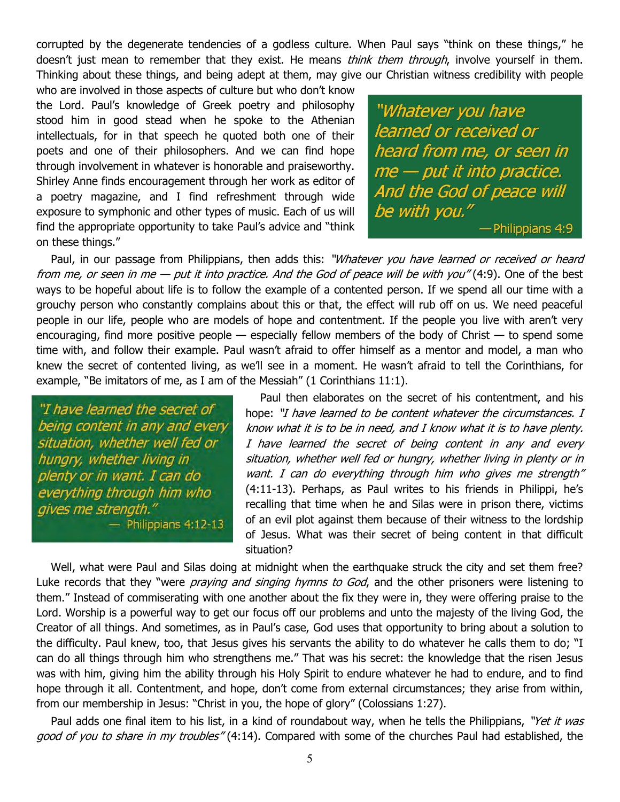corrupted by the degenerate tendencies of a godless culture. When Paul says "think on these things," he doesn't just mean to remember that they exist. He means *think them through*, involve yourself in them. Thinking about these things, and being adept at them, may give our Christian witness credibility with people

who are involved in those aspects of culture but who don't know the Lord. Paul's knowledge of Greek poetry and philosophy stood him in good stead when he spoke to the Athenian intellectuals, for in that speech he quoted both one of their poets and one of their philosophers. And we can find hope through involvement in whatever is honorable and praiseworthy. Shirley Anne finds encouragement through her work as editor of a poetry magazine, and I find refreshment through wide exposure to symphonic and other types of music. Each of us will find the appropriate opportunity to take Paul's advice and "think on these things."

"Whatever you have learned or received or heard from me, or seen in  $me$  – put it into practice. And the God of peace will be with you."

-Philippians 4:9

Paul, in our passage from Philippians, then adds this: "Whatever you have learned or received or heard from me, or seen in me  $-$  put it into practice. And the God of peace will be with you"(4:9). One of the best ways to be hopeful about life is to follow the example of a contented person. If we spend all our time with a grouchy person who constantly complains about this or that, the effect will rub off on us. We need peaceful people in our life, people who are models of hope and contentment. If the people you live with aren't very encouraging, find more positive people  $-$  especially fellow members of the body of Christ  $-$  to spend some time with, and follow their example. Paul wasn't afraid to offer himself as a mentor and model, a man who knew the secret of contented living, as we'll see in a moment. He wasn't afraid to tell the Corinthians, for example, "Be imitators of me, as I am of the Messiah" (1 Corinthians 11:1).

"I have learned the secret of being content in any and every situation, whether well fed or hungry, whether living in plenty or in want. I can do everything through him who gives me strength."  $-$  Philippians 4.12-13

Paul then elaborates on the secret of his contentment, and his hope: "I have learned to be content whatever the circumstances. I know what it is to be in need, and I know what it is to have plenty. I have learned the secret of being content in any and every situation, whether well fed or hungry, whether living in plenty or in want. I can do everything through him who gives me strength" (4:11-13). Perhaps, as Paul writes to his friends in Philippi, he's recalling that time when he and Silas were in prison there, victims of an evil plot against them because of their witness to the lordship of Jesus. What was their secret of being content in that difficult situation?

Well, what were Paul and Silas doing at midnight when the earthquake struck the city and set them free? Luke records that they "were *praying and singing hymns to God*, and the other prisoners were listening to them." Instead of commiserating with one another about the fix they were in, they were offering praise to the Lord. Worship is a powerful way to get our focus off our problems and unto the majesty of the living God, the Creator of all things. And sometimes, as in Paul's case, God uses that opportunity to bring about a solution to the difficulty. Paul knew, too, that Jesus gives his servants the ability to do whatever he calls them to do; "I can do all things through him who strengthens me." That was his secret: the knowledge that the risen Jesus was with him, giving him the ability through his Holy Spirit to endure whatever he had to endure, and to find hope through it all. Contentment, and hope, don't come from external circumstances; they arise from within, from our membership in Jesus: "Christ in you, the hope of glory" (Colossians 1:27).

Paul adds one final item to his list, in a kind of roundabout way, when he tells the Philippians, "Yet it was good of you to share in my troubles" (4:14). Compared with some of the churches Paul had established, the